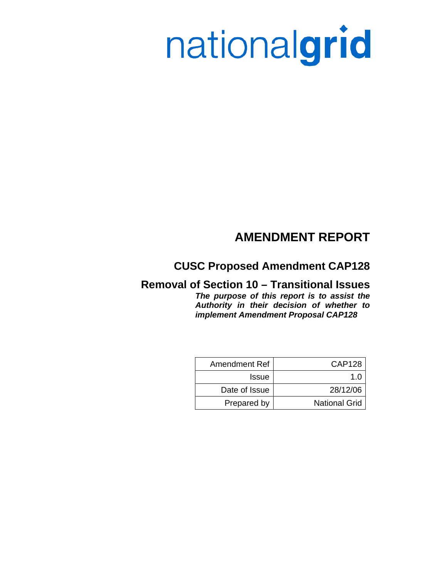# nationalgrid

# **AMENDMENT REPORT**

## **CUSC Proposed Amendment CAP128**

## **Removal of Section 10 – Transitional Issues**  *The purpose of this report is to assist the Authority in their decision of whether to implement Amendment Proposal CAP128*

| Amendment Ref | CAP128               |
|---------------|----------------------|
| <b>Issue</b>  | 1 በ                  |
| Date of Issue | 28/12/06             |
| Prepared by   | <b>National Grid</b> |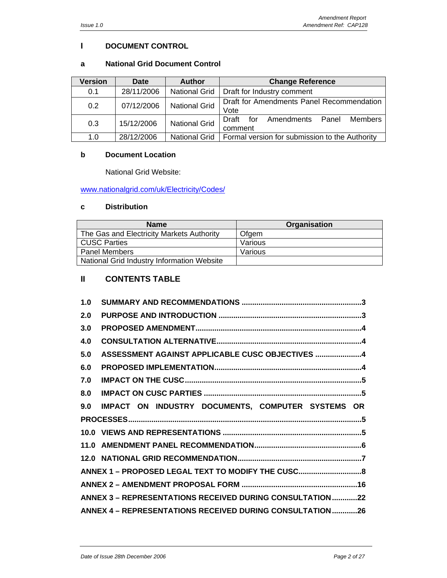## **I DOCUMENT CONTROL**

## **a National Grid Document Control**

| <b>Version</b> | <b>Date</b> | <b>Author</b>        | <b>Change Reference</b>                                       |
|----------------|-------------|----------------------|---------------------------------------------------------------|
| 0.1            | 28/11/2006  | <b>National Grid</b> | Draft for Industry comment                                    |
| 0.2            | 07/12/2006  | <b>National Grid</b> | Draft for Amendments Panel Recommendation<br>Vote             |
| 0.3            | 15/12/2006  | <b>National Grid</b> | <b>Members</b><br>Draft for<br>Amendments<br>Panel<br>comment |
| 1.0            | 28/12/2006  | <b>National Grid</b> | Formal version for submission to the Authority                |

## **b Document Location**

National Grid Website:

www.nationalgrid.com/uk/Electricity/Codes/

## **c Distribution**

| <b>Name</b>                                | Organisation |
|--------------------------------------------|--------------|
| The Gas and Electricity Markets Authority  | Ofgem        |
| CUSC Parties                               | Various      |
| <b>Panel Members</b>                       | Various      |
| National Grid Industry Information Website |              |

## **II CONTENTS TABLE**

| 1.0                                                      |                                                          |  |
|----------------------------------------------------------|----------------------------------------------------------|--|
| 2.0                                                      |                                                          |  |
| 3.0                                                      |                                                          |  |
| 4.0                                                      |                                                          |  |
| 5.0                                                      | ASSESSMENT AGAINST APPLICABLE CUSC OBJECTIVES 4          |  |
| 6.0                                                      |                                                          |  |
| 7.0                                                      |                                                          |  |
| 8.0                                                      |                                                          |  |
| 9.0                                                      | IMPACT ON INDUSTRY DOCUMENTS, COMPUTER SYSTEMS OR        |  |
|                                                          |                                                          |  |
|                                                          |                                                          |  |
|                                                          |                                                          |  |
|                                                          |                                                          |  |
|                                                          | ANNEX 1 - PROPOSED LEGAL TEXT TO MODIFY THE CUSC8        |  |
|                                                          |                                                          |  |
|                                                          | ANNEX 3 - REPRESENTATIONS RECEIVED DURING CONSULTATION22 |  |
| ANNEX 4 - REPRESENTATIONS RECEIVED DURING CONSULTATION26 |                                                          |  |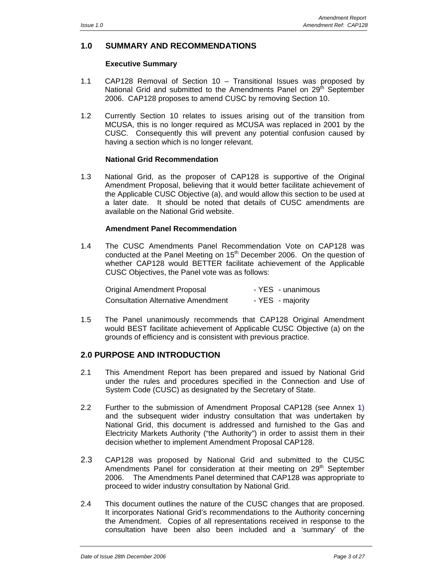## **1.0 SUMMARY AND RECOMMENDATIONS**

## **Executive Summary**

- 1.1 CAP128 Removal of Section 10 Transitional Issues was proposed by National Grid and submitted to the Amendments Panel on 29<sup>th</sup> September 2006. CAP128 proposes to amend CUSC by removing Section 10.
- 1.2 Currently Section 10 relates to issues arising out of the transition from MCUSA, this is no longer required as MCUSA was replaced in 2001 by the CUSC. Consequently this will prevent any potential confusion caused by having a section which is no longer relevant.

## **National Grid Recommendation**

1.3 National Grid, as the proposer of CAP128 is supportive of the Original Amendment Proposal, believing that it would better facilitate achievement of the Applicable CUSC Objective (a), and would allow this section to be used at a later date. It should be noted that details of CUSC amendments are available on the National Grid website.

## **Amendment Panel Recommendation**

1.4 The CUSC Amendments Panel Recommendation Vote on CAP128 was conducted at the Panel Meeting on 15<sup>th</sup> December 2006. On the question of whether CAP128 would BETTER facilitate achievement of the Applicable CUSC Objectives, the Panel vote was as follows:

| Original Amendment Proposal               | - YES - unanimous |
|-------------------------------------------|-------------------|
| <b>Consultation Alternative Amendment</b> | - YES - majority  |

1.5 The Panel unanimously recommends that CAP128 Original Amendment would BEST facilitate achievement of Applicable CUSC Objective (a) on the grounds of efficiency and is consistent with previous practice.

## **2.0 PURPOSE AND INTRODUCTION**

- 2.1 This Amendment Report has been prepared and issued by National Grid under the rules and procedures specified in the Connection and Use of System Code (CUSC) as designated by the Secretary of State.
- 2.2 Further to the submission of Amendment Proposal CAP128 (see Annex 1) and the subsequent wider industry consultation that was undertaken by National Grid, this document is addressed and furnished to the Gas and Electricity Markets Authority ("the Authority") in order to assist them in their decision whether to implement Amendment Proposal CAP128.
- 2.3 CAP128 was proposed by National Grid and submitted to the CUSC Amendments Panel for consideration at their meeting on  $29<sup>th</sup>$  September 2006. The Amendments Panel determined that CAP128 was appropriate to proceed to wider industry consultation by National Grid.
- 2.4 This document outlines the nature of the CUSC changes that are proposed. It incorporates National Grid's recommendations to the Authority concerning the Amendment. Copies of all representations received in response to the consultation have been also been included and a 'summary' of the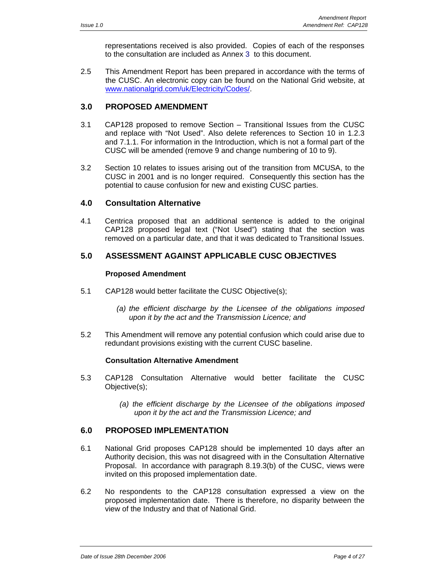representations received is also provided. Copies of each of the responses to the consultation are included as Annex 3 to this document.

2.5 This Amendment Report has been prepared in accordance with the terms of the CUSC. An electronic copy can be found on the National Grid website, at www.nationalgrid.com/uk/Electricity/Codes/.

## **3.0 PROPOSED AMENDMENT**

- 3.1 CAP128 proposed to remove Section Transitional Issues from the CUSC and replace with "Not Used". Also delete references to Section 10 in 1.2.3 and 7.1.1. For information in the Introduction, which is not a formal part of the CUSC will be amended (remove 9 and change numbering of 10 to 9).
- 3.2 Section 10 relates to issues arising out of the transition from MCUSA, to the CUSC in 2001 and is no longer required. Consequently this section has the potential to cause confusion for new and existing CUSC parties.

## **4.0 Consultation Alternative**

4.1 Centrica proposed that an additional sentence is added to the original CAP128 proposed legal text ("Not Used") stating that the section was removed on a particular date, and that it was dedicated to Transitional Issues.

## **5.0 ASSESSMENT AGAINST APPLICABLE CUSC OBJECTIVES**

## **Proposed Amendment**

- 5.1 CAP128 would better facilitate the CUSC Objective(s);
	- *(a) the efficient discharge by the Licensee of the obligations imposed upon it by the act and the Transmission Licence; and*
- 5.2 This Amendment will remove any potential confusion which could arise due to redundant provisions existing with the current CUSC baseline.

## **Consultation Alternative Amendment**

- 5.3 CAP128 Consultation Alternative would better facilitate the CUSC Objective(s);
	- *(a) the efficient discharge by the Licensee of the obligations imposed upon it by the act and the Transmission Licence; and*

## **6.0 PROPOSED IMPLEMENTATION**

- 6.1 National Grid proposes CAP128 should be implemented 10 days after an Authority decision, this was not disagreed with in the Consultation Alternative Proposal. In accordance with paragraph 8.19.3(b) of the CUSC, views were invited on this proposed implementation date.
- 6.2 No respondents to the CAP128 consultation expressed a view on the proposed implementation date. There is therefore, no disparity between the view of the Industry and that of National Grid.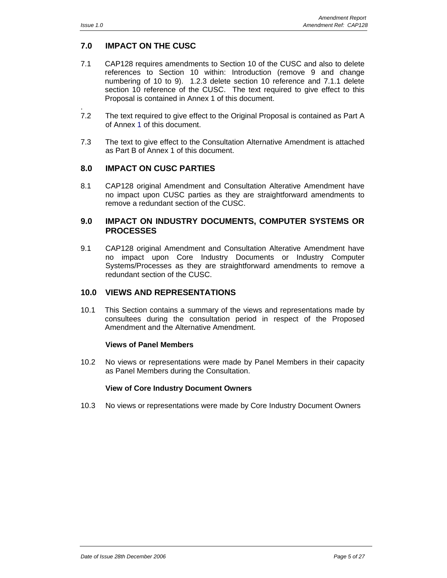.

## **7.0 IMPACT ON THE CUSC**

- 7.1 CAP128 requires amendments to Section 10 of the CUSC and also to delete references to Section 10 within: Introduction (remove 9 and change numbering of 10 to 9). 1.2.3 delete section 10 reference and 7.1.1 delete section 10 reference of the CUSC. The text required to give effect to this Proposal is contained in Annex 1 of this document.
- 7.2 The text required to give effect to the Original Proposal is contained as Part A of Annex 1 of this document.
- 7.3 The text to give effect to the Consultation Alternative Amendment is attached as Part B of Annex 1 of this document.

## **8.0 IMPACT ON CUSC PARTIES**

8.1 CAP128 original Amendment and Consultation Alterative Amendment have no impact upon CUSC parties as they are straightforward amendments to remove a redundant section of the CUSC.

## **9.0 IMPACT ON INDUSTRY DOCUMENTS, COMPUTER SYSTEMS OR PROCESSES**

9.1 CAP128 original Amendment and Consultation Alterative Amendment have no impact upon Core Industry Documents or Industry Computer Systems/Processes as they are straightforward amendments to remove a redundant section of the CUSC.

## **10.0 VIEWS AND REPRESENTATIONS**

10.1 This Section contains a summary of the views and representations made by consultees during the consultation period in respect of the Proposed Amendment and the Alternative Amendment.

## **Views of Panel Members**

10.2 No views or representations were made by Panel Members in their capacity as Panel Members during the Consultation.

#### **View of Core Industry Document Owners**

10.3 No views or representations were made by Core Industry Document Owners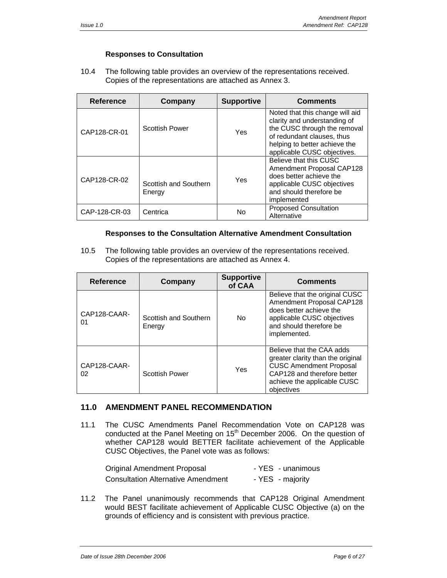## **Responses to Consultation**

10.4 The following table provides an overview of the representations received. Copies of the representations are attached as Annex 3.

| <b>Reference</b> | Company                         | <b>Supportive</b> | <b>Comments</b>                                                                                                                                                                               |
|------------------|---------------------------------|-------------------|-----------------------------------------------------------------------------------------------------------------------------------------------------------------------------------------------|
| CAP128-CR-01     | <b>Scottish Power</b>           | Yes               | Noted that this change will aid<br>clarity and understanding of<br>the CUSC through the removal<br>of redundant clauses, thus<br>helping to better achieve the<br>applicable CUSC objectives. |
| CAP128-CR-02     | Scottish and Southern<br>Energy | Yes               | Believe that this CUSC<br>Amendment Proposal CAP128<br>does better achieve the<br>applicable CUSC objectives<br>and should therefore be<br>implemented                                        |
| CAP-128-CR-03    | Centrica                        | No                | <b>Proposed Consultation</b><br>Alternative                                                                                                                                                   |

## **Responses to the Consultation Alternative Amendment Consultation**

10.5 The following table provides an overview of the representations received. Copies of the representations are attached as Annex 4.

| <b>Reference</b>   | Company                         | <b>Supportive</b><br>of CAA | <b>Comments</b>                                                                                                                                                              |
|--------------------|---------------------------------|-----------------------------|------------------------------------------------------------------------------------------------------------------------------------------------------------------------------|
| CAP128-CAAR-<br>01 | Scottish and Southern<br>Energy | No.                         | Believe that the original CUSC<br>Amendment Proposal CAP128<br>does better achieve the<br>applicable CUSC objectives<br>and should therefore be<br>implemented.              |
| CAP128-CAAR-<br>02 | <b>Scottish Power</b>           | Yes                         | Believe that the CAA adds<br>greater clarity than the original<br><b>CUSC Amendment Proposal</b><br>CAP128 and therefore better<br>achieve the applicable CUSC<br>objectives |

## **11.0 AMENDMENT PANEL RECOMMENDATION**

11.1 The CUSC Amendments Panel Recommendation Vote on CAP128 was conducted at the Panel Meeting on 15<sup>th</sup> December 2006. On the question of whether CAP128 would BETTER facilitate achievement of the Applicable CUSC Objectives, the Panel vote was as follows:

| Original Amendment Proposal               | - YES - unanimous |
|-------------------------------------------|-------------------|
| <b>Consultation Alternative Amendment</b> | - YES - majority  |

11.2 The Panel unanimously recommends that CAP128 Original Amendment would BEST facilitate achievement of Applicable CUSC Objective (a) on the grounds of efficiency and is consistent with previous practice.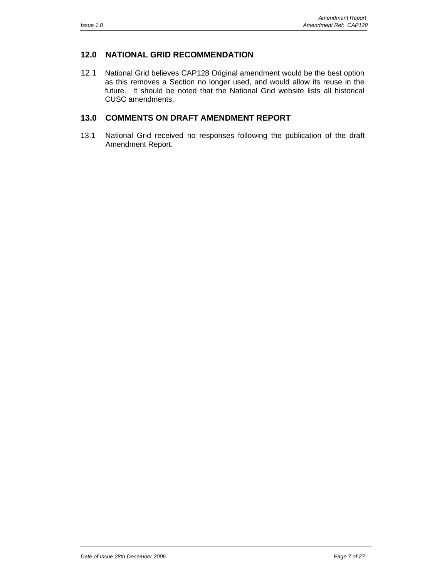## **12.0 NATIONAL GRID RECOMMENDATION**

12.1 National Grid believes CAP128 Original amendment would be the best option as this removes a Section no longer used, and would allow its reuse in the future. It should be noted that the National Grid website lists all historical CUSC amendments.

## **13.0 COMMENTS ON DRAFT AMENDMENT REPORT**

13.1 National Grid received no responses following the publication of the draft Amendment Report.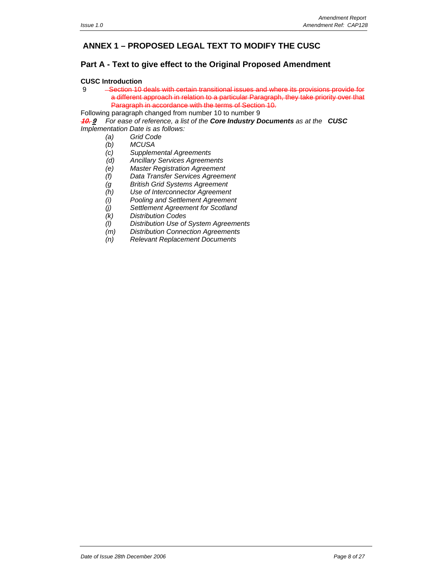## **ANNEX 1 – PROPOSED LEGAL TEXT TO MODIFY THE CUSC**

## **Part A - Text to give effect to the Original Proposed Amendment**

#### **CUSC Introduction**

| 9 | -Section 10 deals with certain transitional issues and where its provisions provide for  |
|---|------------------------------------------------------------------------------------------|
|   | a different approach in relation to a particular Paragraph, they take priority over that |
|   | Paragraph in accordance with the terms of Section 10.                                    |

Following paragraph changed from number 10 to number 9

**10. 9** *For ease of reference, a list of the Core Industry Documents as at the CUSC Implementation Date is as follows:* 

- *(a) Grid Code*
- 
- *(b) MCUSA*   $Supplemental Agreements$
- *(d) Ancillary Services Agreements*
- *(e) Master Registration Agreement*
- *(f) Data Transfer Services Agreement*
- *(g British Grid Systems Agreement*
- *(h) Use of Interconnector Agreement*
- *(i) Pooling and Settlement Agreement*
- *(j) Settlement Agreement for Scotland*
- *(k) Distribution Codes*
- *(l) Distribution Use of System Agreements*
- $Distribution$  Connection Agreements
- *(n) Relevant Replacement Documents*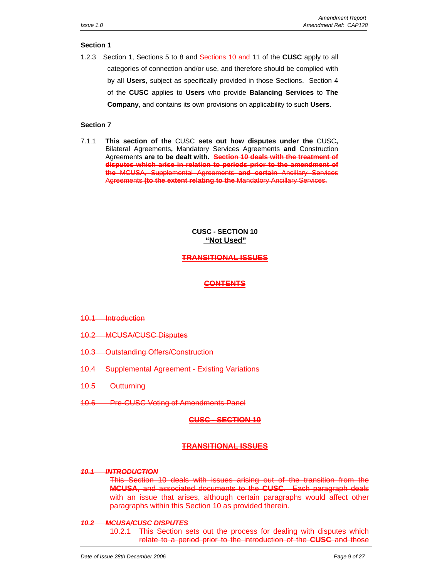#### **Section 1**

1.2.3Section 1, Sections 5 to 8 and Sections 10 and 11 of the **CUSC** apply to all categories of connection and/or use, and therefore should be complied with by all **Users**, subject as specifically provided in those Sections. Section 4 of the **CUSC** applies to **Users** who provide **Balancing Services** to **The Company**, and contains its own provisions on applicability to such **Users**.

#### **Section 7**

7.1.1 **This section of the** CUSC **sets out how disputes under the** CUSC**,**  Bilateral Agreements**,** Mandatory Services Agreements **and** Construction Agreements **are to be dealt with. Section 10 deals with the treatment of disputes which arise in relation to periods prior to the amendment of the** MCUSA, Supplemental Agreements **and certain** Ancillary Services Agreements **(to the extent relating to the** Mandatory Ancillary Services.

## **CUSC - SECTION 10 "Not Used"**

## **TRANSITIONAL ISSUES**

## **CONTENTS**

- 10.1 Introduction
- 10.2 MCUSA/CUSC Disputes
- 10.3 Outstanding Offers/Construction
- 10.4 Supplemental Agreement Existing Variations
- 10.5 Outturning
- 10.6 Pre-CUSC Voting of Amendments Panel

## **CUSC - SECTION 10**

## **TRANSITIONAL ISSUES**

#### *10.1 INTRODUCTION*

This Section 10 deals with issues arising out of the transition from the **MCUSA**, and associated documents to the **CUSC**. Each paragraph deals with an issue that arises, although certain paragraphs would affect other paragraphs within this Section 10 as provided therein.

#### *10.2 MCUSA/CUSC DISPUTES*

10.2.1 This Section sets out the process for dealing with disputes which relate to a period prior to the introduction of the **CUSC** and those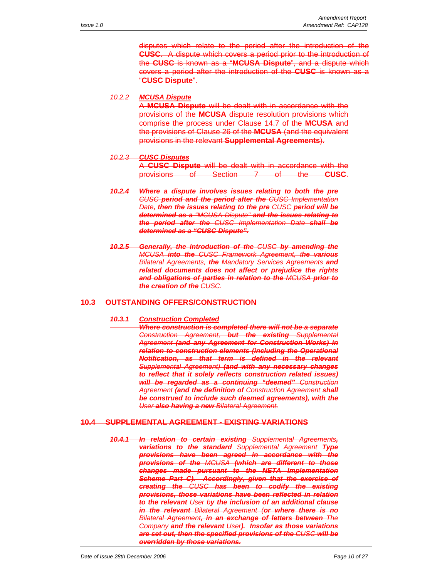disputes which relate to the period after the introduction of the **CUSC**. A dispute which covers a period prior to the introduction of the **CUSC** is known as a "**MCUSA Dispute**", and a dispute which covers a period after the introduction of the **CUSC** is known as a "**CUSC Dispute**".

#### *10.2.2 MCUSA Dispute*

A **MCUSA Dispute** will be dealt with in accordance with the provisions of the **MCUSA** dispute resolution provisions which comprise the process under Clause 14.7 of the **MCUSA** and the provisions of Clause 26 of the **MCUSA** (and the equivalent provisions in the relevant **Supplemental Agreements**).

#### *10.2.3 CUSC Disputes*

|                                 |                                                         | A CUSC Dispute will be dealt with in accordance with the |              |                     |                                  |
|---------------------------------|---------------------------------------------------------|----------------------------------------------------------|--------------|---------------------|----------------------------------|
| <b>provisions</b><br>provisions | $\sim$ $\sim$ $\sim$ $\sim$<br>$\overline{\phantom{a}}$ | Soction 7<br><b>UNITED</b>                               | $\mathbf{u}$ | $+h$<br><b>STRA</b> | <b>CHICO</b><br><del>uuau.</del> |

- *10.2.4 Where a dispute involves issues relating to both the pre CUSC period and the period after the CUSC Implementation Date, then the issues relating to the pre CUSC period will be determined as a "MCUSA Dispute" and the issues relating to the period after the CUSC Implementation Date shall be determined as a "CUSC Dispute".*
- *10.2.5 Generally, the introduction of the CUSC by amending the MCUSA into the CUSC Framework Agreement, the various Bilateral Agreements, the Mandatory Services Agreements and related documents does not affect or prejudice the rights and obligations of parties in relation to the MCUSA prior to the creation of the CUSC.*

#### **10.3 OUTSTANDING OFFERS/CONSTRUCTION**

#### *10.3.1 Construction Completed*

*Where construction is completed there will not be a separate Construction Agreement, but the existing Supplemental Agreement (and any Agreement for Construction Works) in relation to construction elements (including the Operational Notification, as that term is defined in the relevant Supplemental Agreement) (and with any necessary changes to reflect that it solely reflects construction related issues) will be regarded as a continuing "deemed" Construction Agreement (and the definition of Construction Agreement shall be construed to include such deemed agreements), with the User also having a new Bilateral Agreement.*

#### **10.4 SUPPLEMENTAL AGREEMENT - EXISTING VARIATIONS**

*10.4.1 In relation to certain existing Supplemental Agreements, variations to the standard Supplemental Agreement Type provisions have been agreed in accordance with the provisions of the MCUSA (which are different to those changes made pursuant to the NETA Implementation Scheme Part C). Accordingly, given that the exercise of creating the CUSC has been to codify the existing provisions, those variations have been reflected in relation to the relevant User by the inclusion of an additional clause in the relevant Bilateral Agreement (or where there is no Bilateral Agreement, in an exchange of letters between The Company and the relevant User). Insofar as those variations are set out, then the specified provisions of the CUSC will be overridden by those variations.*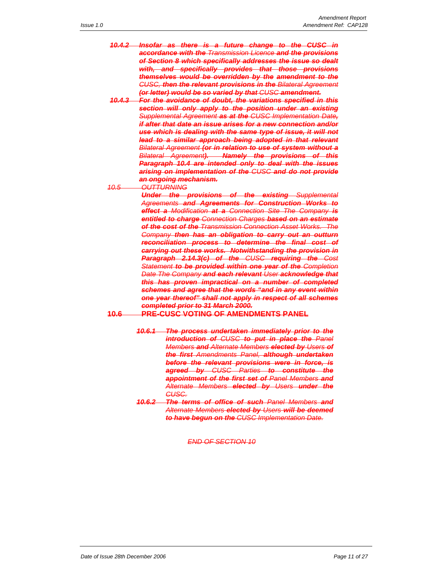- *10.4.2 Insofar as there is a future change to the CUSC in accordance with the Transmission Licence and the provisions of Section 8 which specifically addresses the issue so dealt with, and specifically provides that those provisions themselves would be overridden by the amendment to the CUSC, then the relevant provisions in the Bilateral Agreement (or letter) would be so varied by that CUSC amendment.*
- *10.4.3 For the avoidance of doubt, the variations specified in this section will only apply to the position under an existing Supplemental Agreement as at the CUSC Implementation Date, if after that date an issue arises for a new connection and/or use which is dealing with the same type of issue, it will not lead to a similar approach being adopted in that relevant Bilateral Agreement (or in relation to use of system without a Bilateral Agreement). Namely the provisions of this Paragraph 10.4 are intended only to deal with the issues arising on implementation of the CUSC and do not provide an ongoing mechanism.*

*10.5 OUTTURNING*

*Under the provisions of the existing Supplemental Agreements and Agreements for Construction Works to effect a Modification at a Connection Site The Company is entitled to charge Connection Charges based on an estimate of the cost of the Transmission Connection Asset Works. The Company then has an obligation to carry out an outturn reconciliation process to determine the final cost of carrying out these works. Notwithstanding the provision in Paragraph 2.14.3(c) of the CUSC requiring the Cost Statement to be provided within one year of the Completion Date The Company and each relevant User acknowledge that this has proven impractical on a number of completed schemes and agree that the words "and in any event within one year thereof" shall not apply in respect of all schemes completed prior to 31 March 2000.*

#### **10.6 PRE-CUSC VOTING OF AMENDMENTS PANEL**

- *10.6.1 The process undertaken immediately prior to the introduction of CUSC to put in place the Panel Members and Alternate Members elected by Users of the first Amendments Panel, although undertaken before the relevant provisions were in force, is agreed by CUSC Parties to constitute the appointment of the first set of Panel Members and Alternate Members elected by Users under the CUSC.*
- *10.6.2 The terms of office of such Panel Members and Alternate Members elected by Users will be deemed to have begun on the CUSC Implementation Date.*

#### *END OF SECTION 10*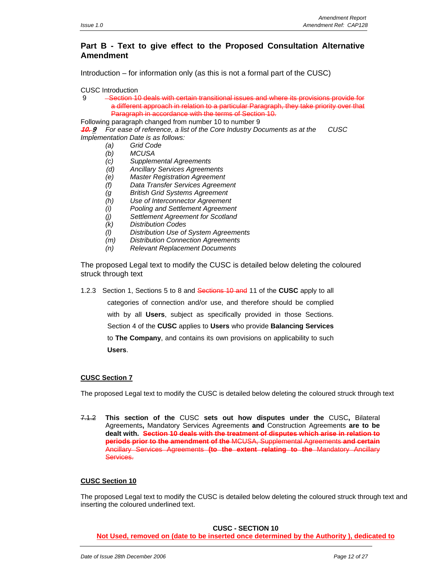## **Part B - Text to give effect to the Proposed Consultation Alternative Amendment**

Introduction – for information only (as this is not a formal part of the CUSC)

CUSC Introduction

9 Section 10 deals with certain transitional issues and where its provisions provide for a different approach in relation to a particular Paragraph, they take priority over that Paragraph in accordance with the terms of Section 10.

Following paragraph changed from number 10 to number 9

**10. 9** *For ease of reference, a list of the Core Industry Documents as at the CUSC Implementation Date is as follows:* 

- *(a) Grid Code*
- *(b) MCUSA*
- *(c) Supplemental Agreements*
- *(d) Ancillary Services Agreements*
- *(e) Master Registration Agreement*
- *(f) Data Transfer Services Agreement*
- *(g British Grid Systems Agreement*
- *(h) Use of Interconnector Agreement*
- *(i) Pooling and Settlement Agreement*
- *(j) Settlement Agreement for Scotland*
- *(k) Distribution Codes*
- *(l) Distribution Use of System Agreements*
- *(m) Distribution Connection Agreements*
- *(n) Relevant Replacement Documents*

The proposed Legal text to modify the CUSC is detailed below deleting the coloured struck through text

1.2.3Section 1, Sections 5 to 8 and Sections 10 and 11 of the **CUSC** apply to all

categories of connection and/or use, and therefore should be complied

with by all **Users**, subject as specifically provided in those Sections.

Section 4 of the **CUSC** applies to **Users** who provide **Balancing Services** 

to **The Company**, and contains its own provisions on applicability to such **Users**.

#### **CUSC Section 7**

The proposed Legal text to modify the CUSC is detailed below deleting the coloured struck through text

7.1.2 **This section of the** CUSC **sets out how disputes under the** CUSC**,** Bilateral Agreements**,** Mandatory Services Agreements **and** Construction Agreements **are to be dealt with. Section 10 deals with the treatment of disputes which arise in relation to periods prior to the amendment of the** MCUSA, Supplemental Agreements **and certain**  Ancillary Services Agreements **(to the extent relating to the** Mandatory Ancillary Services.

#### **CUSC Section 10**

The proposed Legal text to modify the CUSC is detailed below deleting the coloured struck through text and inserting the coloured underlined text.

**CUSC - SECTION 10 Not Used, removed on (date to be inserted once determined by the Authority ), dedicated to**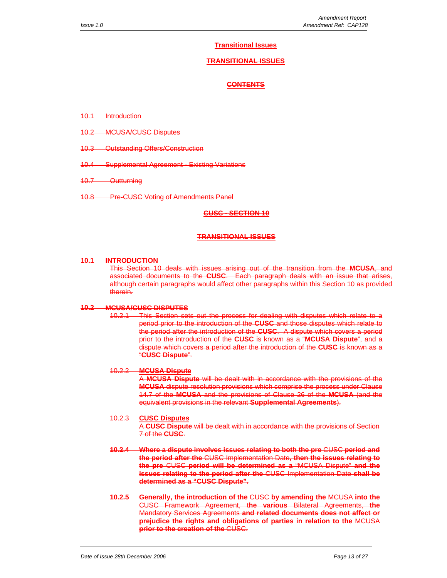#### **Transitional Issues**

#### **TRANSITIONAL ISSUES**

#### **CONTENTS**

- 10.1 Introduction
- 10.2 MCUSA/CUSC Disputes
- 10.3 Outstanding Offers/Construction
- 10.4 Supplemental Agreement Existing Variations
- 10.7 Outturning
- 10.8 Pre-CUSC Voting of Amendments Panel

#### **CUSC - SECTION 10**

#### **TRANSITIONAL ISSUES**

#### **10.1 INTRODUCTION**

This Section 10 deals with issues arising out of the transition from the **MCUSA**, and associated documents to the **CUSC**. Each paragraph deals with an issue that arises, although certain paragraphs would affect other paragraphs within this Section 10 as provided therein.

#### **10.2 MCUSA/CUSC DISPUTES**

10.2.1 This Section sets out the process for dealing with disputes which relate to a period prior to the introduction of the **CUSC** and those disputes which relate to the period after the introduction of the **CUSC**. A dispute which covers a period prior to the introduction of the **CUSC** is known as a "**MCUSA Dispute**", and a dispute which covers a period after the introduction of the **CUSC** is known as a "**CUSC Dispute**".

#### 10.2.2 **MCUSA Dispute**

A **MCUSA Dispute** will be dealt with in accordance with the provisions of the **MCUSA** dispute resolution provisions which comprise the process under Clause 14.7 of the **MCUSA** and the provisions of Clause 26 of the **MCUSA** (and the equivalent provisions in the relevant **Supplemental Agreements**).

#### 10.2.3 **CUSC Disputes**

A **CUSC Dispute** will be dealt with in accordance with the provisions of Section 7 of the **CUSC**.

- **10.2.4 Where a dispute involves issues relating to both the pre** CUSC **period and the period after the** CUSC Implementation Date**, then the issues relating to the pre** CUSC **period will be determined as a** "MCUSA Dispute" **and the issues relating to the period after the** CUSC Implementation Date **shall be determined as a "CUSC Dispute".**
- **10.2.5 Generally, the introduction of the** CUSC **by amending the** MCUSA **into the** CUSC Framework Agreement, t**he various** Bilateral Agreements, **the** Mandatory Services Agreements **and related documents does not affect or prejudice the rights and obligations of parties in relation to the** MCUSA **prior to the creation of the** CUSC.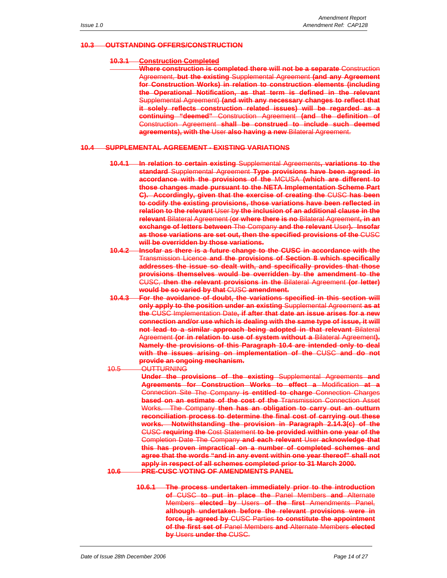#### **10.3 OUTSTANDING OFFERS/CONSTRUCTION**

#### **10.3.1 Construction Completed**

**Where construction is completed there will not be a separate** Construction Agreement, **but the existing** Supplemental Agreement **(and any Agreement for Construction Works) in relation to construction elements (including the Operational Notification, as that term is defined in the relevant**  Supplemental Agreement) **(and with any necessary changes to reflect that it solely reflects construction related issues) will be regarded as a continuing "deemed"** Construction Agreement **(and the definition of** Construction Agreement **shall be construed to include such deemed agreements), with the** User **also having a new** Bilateral Agreement.

#### **10.4 SUPPLEMENTAL AGREEMENT - EXISTING VARIATIONS**

- **10.4.1 In relation to certain existing** Supplemental Agreements**, variations to the standard** Supplemental Agreement **Type provisions have been agreed in accordance with the provisions of the** MCUSA **(which are different to those changes made pursuant to the NETA Implementation Scheme Part C). Accordingly, given that the exercise of creating the** CUSC **has been to codify the existing provisions, those variations have been reflected in relation to the relevant** User b**y the inclusion of an additional clause in the relevant** Bilateral Agreement (**or where there is no** Bilateral Agreement**, in an exchange of letters between** The Company **and the relevant** User**). Insofar as those variations are set out, then the specified provisions of the** CUSC **will be overridden by those variations.**
- **10.4.2 Insofar as there is a future change to the CUSC in accordance with the** Transmission Licence **and the provisions of Section 8 which specifically addresses the issue so dealt with, and specifically provides that those provisions themselves would be overridden by the amendment to the** CUSC, **then the relevant provisions in the** Bilateral Agreement **(or letter) would be so varied by that** CUSC **amendment.**
- **10.4.3 For the avoidance of doubt, the variations specified in this section will only apply to the position under an existing** Supplemental Agreement **as at the** CUSC Implementation Date**, if after that date an issue arises for a new connection and/or use which is dealing with the same type of issue, it will not lead to a similar approach being adopted in that relevant** Bilateral Agreement **(or in relation to use of system without a** Bilateral Agreement**). Namely the provisions of this Paragraph 10.4 are intended only to deal with the issues arising on implementation of the** CUSC **and do not provide an ongoing mechanism.**

10.5 OUTTURNING

**Under the provisions of the existing** Supplemental Agreements **and Agreements for Construction Works to effect a** Modification **at a** Connection Site The Company **is entitled to charge** Connection Charges **based on an estimate of the cost of the** Transmission Connection Asset Works. The Company **then has an obligation to carry out an outturn reconciliation process to determine the final cost of carrying out these works. Notwithstanding the provision in Paragraph 2.14.3(c) of the** CUSC **requiring the** Cost Statement **to be provided within one year of the** Completion Date The Company **and each relevant** User **acknowledge that this has proven impractical on a number of completed schemes and agree that the words "and in any event within one year thereof" shall not apply in respect of all schemes completed prior to 31 March 2000.**

**10.6 PRE-CUSC VOTING OF AMENDMENTS PANEL**

**10.6.1 The process undertaken immediately prior to the introduction of** CUSC **to put in place the** Panel Members **and** Alternate Members **elected by** Users **of the first** Amendments Panel, **although undertaken before the relevant provisions were in force, is agreed by** CUSC Parties **to constitute the appointment of the first set of** Panel Members **and** Alternate Members **elected by** Users **under the** CUSC.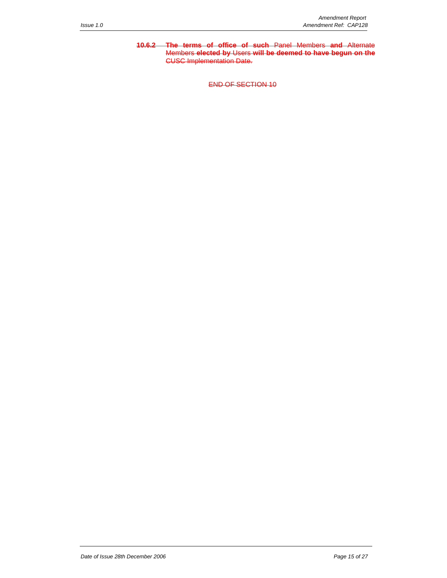**10.6.2 The terms of office of such** Panel Members **and** Alternate Members **elected by** Users **will be deemed to have begun on the** CUSC Implementation Date.

END OF SECTION 10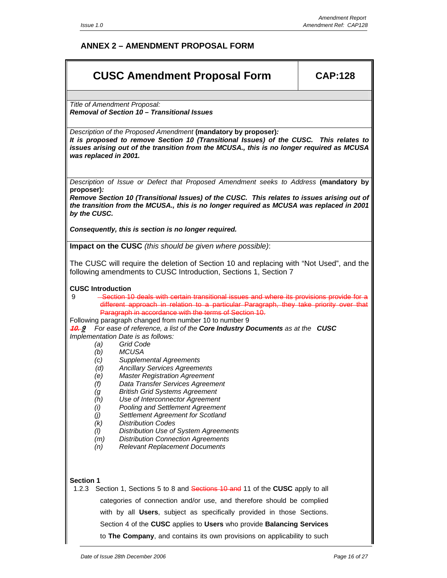## **ANNEX 2 – AMENDMENT PROPOSAL FORM**

| <b>CUSC Amendment Proposal Form</b>                                                                                                                                                                                                                                                                                                                                                                                                                                                                                                                                                                                                                                                                                                                                                                                                                                                                                                                                                                                                                                                                       | <b>CAP:128</b> |
|-----------------------------------------------------------------------------------------------------------------------------------------------------------------------------------------------------------------------------------------------------------------------------------------------------------------------------------------------------------------------------------------------------------------------------------------------------------------------------------------------------------------------------------------------------------------------------------------------------------------------------------------------------------------------------------------------------------------------------------------------------------------------------------------------------------------------------------------------------------------------------------------------------------------------------------------------------------------------------------------------------------------------------------------------------------------------------------------------------------|----------------|
| Title of Amendment Proposal:                                                                                                                                                                                                                                                                                                                                                                                                                                                                                                                                                                                                                                                                                                                                                                                                                                                                                                                                                                                                                                                                              |                |
| Removal of Section 10 - Transitional Issues                                                                                                                                                                                                                                                                                                                                                                                                                                                                                                                                                                                                                                                                                                                                                                                                                                                                                                                                                                                                                                                               |                |
| Description of the Proposed Amendment (mandatory by proposer):<br>It is proposed to remove Section 10 (Transitional Issues) of the CUSC. This relates to<br>issues arising out of the transition from the MCUSA., this is no longer required as MCUSA<br>was replaced in 2001.                                                                                                                                                                                                                                                                                                                                                                                                                                                                                                                                                                                                                                                                                                                                                                                                                            |                |
| Description of Issue or Defect that Proposed Amendment seeks to Address (mandatory by<br>proposer):                                                                                                                                                                                                                                                                                                                                                                                                                                                                                                                                                                                                                                                                                                                                                                                                                                                                                                                                                                                                       |                |
| Remove Section 10 (Transitional Issues) of the CUSC. This relates to issues arising out of<br>the transition from the MCUSA., this is no longer required as MCUSA was replaced in 2001<br>by the CUSC.                                                                                                                                                                                                                                                                                                                                                                                                                                                                                                                                                                                                                                                                                                                                                                                                                                                                                                    |                |
| Consequently, this is section is no longer required.                                                                                                                                                                                                                                                                                                                                                                                                                                                                                                                                                                                                                                                                                                                                                                                                                                                                                                                                                                                                                                                      |                |
| Impact on the CUSC (this should be given where possible):                                                                                                                                                                                                                                                                                                                                                                                                                                                                                                                                                                                                                                                                                                                                                                                                                                                                                                                                                                                                                                                 |                |
| The CUSC will require the deletion of Section 10 and replacing with "Not Used", and the<br>following amendments to CUSC Introduction, Sections 1, Section 7                                                                                                                                                                                                                                                                                                                                                                                                                                                                                                                                                                                                                                                                                                                                                                                                                                                                                                                                               |                |
| <b>CUSC Introduction</b><br>-Section 10 deals with certain transitional issues and where its provisions provide for a<br>9<br>different approach in relation to a particular Paragraph, they take priority over that<br>Paragraph in accordance with the terms of Section 10.<br>Following paragraph changed from number 10 to number 9<br><b>10.9</b> For ease of reference, a list of the <b>Core Industry Documents</b> as at the <b>CUSC</b><br>Implementation Date is as follows:<br><b>Grid Code</b><br>(a)<br><b>MCUSA</b><br>(b)<br><b>Supplemental Agreements</b><br>(c)<br><b>Ancillary Services Agreements</b><br>(d)<br><b>Master Registration Agreement</b><br>(e)<br>Data Transfer Services Agreement<br>(f)<br><b>British Grid Systems Agreement</b><br>(g<br>Use of Interconnector Agreement<br>(h)<br><b>Pooling and Settlement Agreement</b><br>(i)<br>Settlement Agreement for Scotland<br>(j)<br><b>Distribution Codes</b><br>(k)<br>Distribution Use of System Agreements<br>(1)<br>(m)<br><b>Distribution Connection Agreements</b><br><b>Relevant Replacement Documents</b><br>(n) |                |
| <b>Section 1</b><br>1.2.3<br>Section 1, Sections 5 to 8 and Sections 10 and 11 of the CUSC apply to all<br>categories of connection and/or use, and therefore should be complied<br>with by all Users, subject as specifically provided in those Sections.<br>Section 4 of the CUSC applies to Users who provide Balancing Services<br>to The Company, and contains its own provisions on applicability to such                                                                                                                                                                                                                                                                                                                                                                                                                                                                                                                                                                                                                                                                                           |                |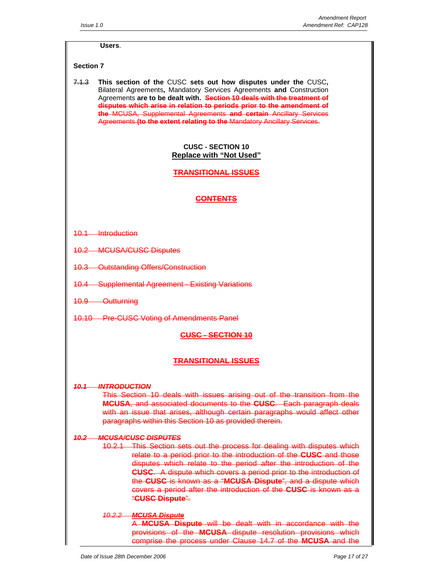#### **Users**.

## **Section 7**

7.1.3 **This section of the** CUSC **sets out how disputes under the** CUSC**,**  Bilateral Agreements**,** Mandatory Services Agreements **and** Construction Agreements **are to be dealt with. Section 10 deals with the treatment of disputes which arise in relation to periods prior to the amendment of the** MCUSA, Supplemental Agreements **and certain** Ancillary Services Agreements **(to the extent relating to the** Mandatory Ancillary Services.

## **CUSC - SECTION 10 Replace with "Not Used"**

**TRANSITIONAL ISSUES**

## **CONTENTS**

- 10.1 Introduction
- 10.2 MCUSA/CUSC Disputes
- 10.3 Outstanding Offers/Construction
- 10.4 Supplemental Agreement Existing Variations
- 10.9 Outturning
- 10.10 Pre-CUSC Voting of Amendments Panel

#### **CUSC - SECTION 10**

#### **TRANSITIONAL ISSUES**

#### *10.1 INTRODUCTION*

This Section 10 deals with issues arising out of the transition from the **MCUSA**, and associated documents to the **CUSC**. Each paragraph deals with an issue that arises, although certain paragraphs would affect other paragraphs within this Section 10 as provided therein.

#### *10.2 MCUSA/CUSC DISPUTES*

10.2.1 This Section sets out the process for dealing with disputes which relate to a period prior to the introduction of the **CUSC** and those disputes which relate to the period after the introduction of the **CUSC**. A dispute which covers a period prior to the introduction of the **CUSC** is known as a "**MCUSA Dispute**", and a dispute which covers a period after the introduction of the **CUSC** is known as a "**CUSC Dispute**".

## *10.2.2 MCUSA Dispute*

A **MCUSA Dispute** will be dealt with in accordance with the provisions of the **MCUSA** dispute resolution provisions which comprise the process under Clause 14.7 of the **MCUSA** and the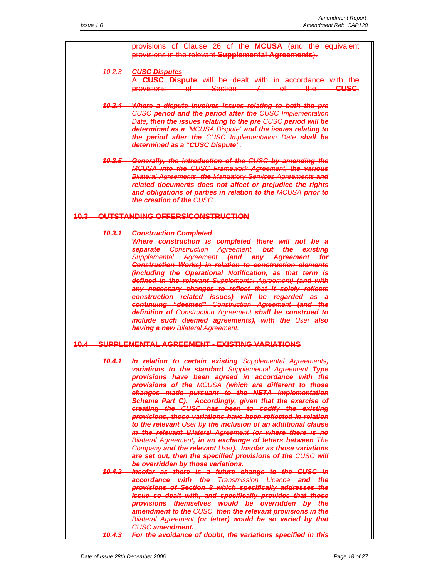provisions of Clause 26 of the **MCUSA** (and the equivalent provisions in the relevant **Supplemental Agreements**).

#### *10.2.3 CUSC Disputes* A **CUSC Dispute** will be dealt with in accordance with the provisions of Section 7 of the **CUSC**.

- *10.2.4 Where a dispute involves issues relating to both the pre CUSC period and the period after the CUSC Implementation Date, then the issues relating to the pre CUSC period will be determined as a "MCUSA Dispute" and the issues relating to the period after the CUSC Implementation Date shall be determined as a "CUSC Dispute".*
- *10.2.5 Generally, the introduction of the CUSC by amending the MCUSA into the CUSC Framework Agreement, the various Bilateral Agreements, the Mandatory Services Agreements and related documents does not affect or prejudice the rights and obligations of parties in relation to the MCUSA prior to the creation of the CUSC.*

## **10.3 OUTSTANDING OFFERS/CONSTRUCTION**

#### *10.3.1 Construction Completed*

*Where construction is completed there will not be a separate Construction Agreement, but the existing Supplemental Agreement (and any Agreement for Construction Works) in relation to construction elements (including the Operational Notification, as that term is defined in the relevant Supplemental Agreement) (and with any necessary changes to reflect that it solely reflects construction related issues) will be regarded as a continuing "deemed" Construction Agreement (and the definition of Construction Agreement shall be construed to include such deemed agreements), with the User also having a new Bilateral Agreement.*

#### **10.4 SUPPLEMENTAL AGREEMENT - EXISTING VARIATIONS**

- *10.4.1 In relation to certain existing Supplemental Agreements, variations to the standard Supplemental Agreement Type provisions have been agreed in accordance with the provisions of the MCUSA (which are different to those changes made pursuant to the NETA Implementation Scheme Part C). Accordingly, given that the exercise of creating the CUSC has been to codify the existing provisions, those variations have been reflected in relation to the relevant User by the inclusion of an additional clause in the relevant Bilateral Agreement (or where there is no Bilateral Agreement, in an exchange of letters between The Company and the relevant User). Insofar as those variations are set out, then the specified provisions of the CUSC will be overridden by those variations. 10.4.2 Insofar as there is a future change to the CUSC in*
- *accordance with the Transmission Licence and the provisions of Section 8 which specifically addresses the issue so dealt with, and specifically provides that those provisions themselves would be overridden by the amendment to the CUSC, then the relevant provisions in the Bilateral Agreement (or letter) would be so varied by that CUSC amendment.*
- *10.4.3 For the avoidance of doubt, the variations specified in this*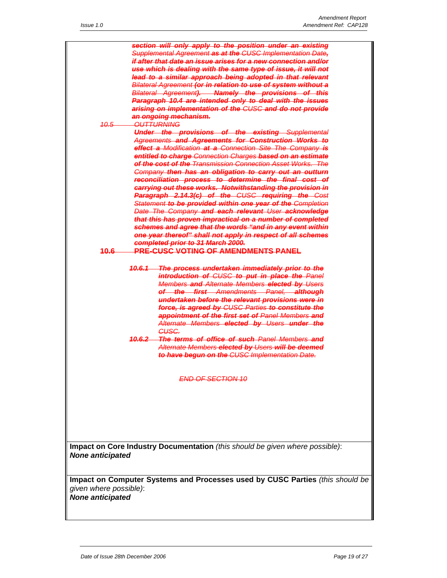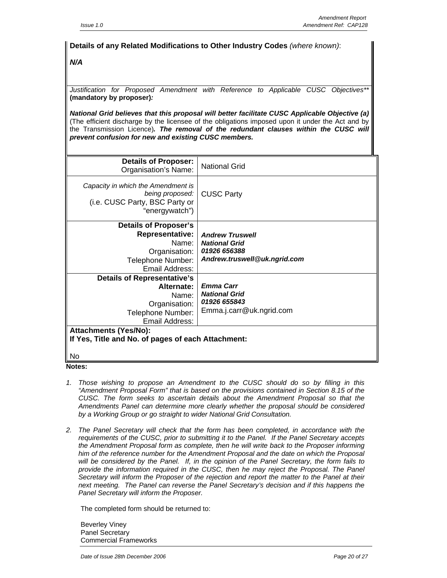## **Details of any Related Modifications to Other Industry Codes** *(where known)*: *N/A Justification for Proposed Amendment with Reference to Applicable CUSC Objectives\*\**  **(mandatory by proposer)***: National Grid believes that this proposal will better facilitate CUSC Applicable Objective (a)*  (The efficient discharge by the licensee of the obligations imposed upon it under the Act and by the Transmission Licence)*. The removal of the redundant clauses within the CUSC will prevent confusion for new and existing CUSC members.*  **Details of Proposer:** Organisation's Name: National Grid *Capacity in which the Amendment is being proposed:* (i.e. CUSC Party, BSC Party or "energywatch") CUSC Party **Details of Proposer's Representative:** Name: Organisation: Telephone Number: Email Address: *Andrew Truswell National Grid 01926 656388 Andrew.truswell@uk.ngrid.com*  **Details of Representative's Alternate:** Name: Organisation: Telephone Number: Email Address: *Emma Carr National Grid 01926 655843*  Emma.j.carr@uk.ngrid.com **Attachments (Yes/No): If Yes, Title and No. of pages of each Attachment:**  No

**Notes:** 

- *1. Those wishing to propose an Amendment to the CUSC should do so by filling in this "Amendment Proposal Form" that is based on the provisions contained in Section 8.15 of the CUSC. The form seeks to ascertain details about the Amendment Proposal so that the Amendments Panel can determine more clearly whether the proposal should be considered by a Working Group or go straight to wider National Grid Consultation.*
- *2. The Panel Secretary will check that the form has been completed, in accordance with the requirements of the CUSC, prior to submitting it to the Panel. If the Panel Secretary accepts the Amendment Proposal form as complete, then he will write back to the Proposer informing him of the reference number for the Amendment Proposal and the date on which the Proposal will be considered by the Panel. If, in the opinion of the Panel Secretary, the form fails to*  provide the information required in the CUSC, then he may reject the Proposal. The Panel *Secretary will inform the Proposer of the rejection and report the matter to the Panel at their next meeting. The Panel can reverse the Panel Secretary's decision and if this happens the Panel Secretary will inform the Proposer.*

The completed form should be returned to:

Beverley Viney Panel Secretary Commercial Frameworks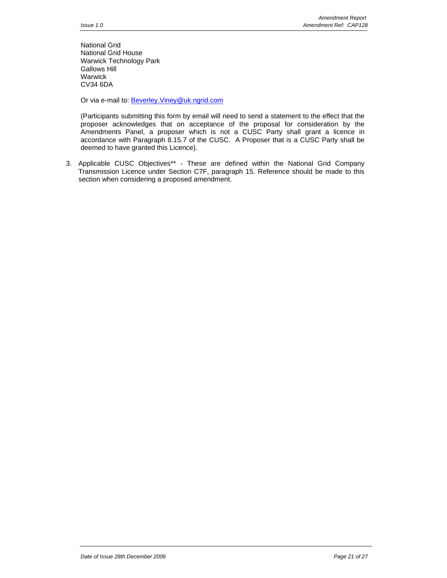National Grid National Grid House Warwick Technology Park Gallows Hill Warwick CV34 6DA

Or via e-mail to: **Beverley. Viney@uk.ngrid.com** 

(Participants submitting this form by email will need to send a statement to the effect that the proposer acknowledges that on acceptance of the proposal for consideration by the Amendments Panel, a proposer which is not a CUSC Party shall grant a licence in accordance with Paragraph 8.15.7 of the CUSC. A Proposer that is a CUSC Party shall be deemed to have granted this Licence).

3. Applicable CUSC Objectives\*\* - These are defined within the National Grid Company Transmission Licence under Section C7F, paragraph 15. Reference should be made to this section when considering a proposed amendment.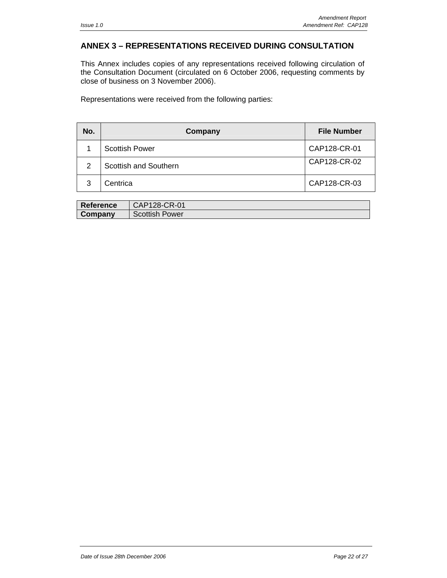## **ANNEX 3 – REPRESENTATIONS RECEIVED DURING CONSULTATION**

This Annex includes copies of any representations received following circulation of the Consultation Document (circulated on 6 October 2006, requesting comments by close of business on 3 November 2006).

Representations were received from the following parties:

| No. | Company               | <b>File Number</b> |
|-----|-----------------------|--------------------|
|     | <b>Scottish Power</b> | CAP128-CR-01       |
| 2   | Scottish and Southern | CAP128-CR-02       |
| 3   | Centrica              | CAP128-CR-03       |

| Reference | CAP128-CR-01          |
|-----------|-----------------------|
| Company   | <b>Scottish Power</b> |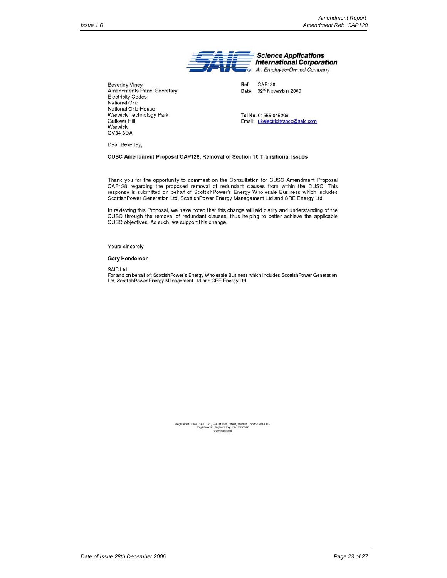

Ref **CAP128** 02<sup>nd</sup> November 2006 Date

Tel No. 01355 845208 Email: ukelectricityspoc@saic.com

Dear Beverley,

Gallows Hill

Warwick CV34 6DA

**Beverley Viney** 

**Electricity Codes** National Grid National Grid House Warwick Technology Park

Amendments Panel Secretary

CUSC Amendment Proposal CAP128, Removal of Section 10 Transitional Issues

Thank you for the opportunity to comment on the Consultation for CUSC Amendment Proposal CAP128 regarding the proposed removal of redundant clauses from within the CUSC. This response is submitted on behalf of ScottishPower's Energy Wholesale Business which includes ScottishPower Generation Ltd, ScottishPower Energy Management Ltd and CRE Energy Ltd.

In reviewing this Proposal, we have noted that this change will aid clarity and understanding of the CUSC through the removal of redundant clauses, thus helping to better achieve the applicable CUSC objectives. As such, we support this change.

Yours sincerely

#### **Gary Henderson**

SAIC Ltd.

For and on behalf of: ScottishPower's Energy Wholesale Business which includes ScottishPower Generation<br>Ltd, ScottishPower Energy Management Ltd and CRE Energy Ltd.

Registered Office: SAIC Ltd., 8-9 Stratton Street, Mayfair, London W1J 8LF<br>Registered in England Reg. No. 1396396<br>www.saic.com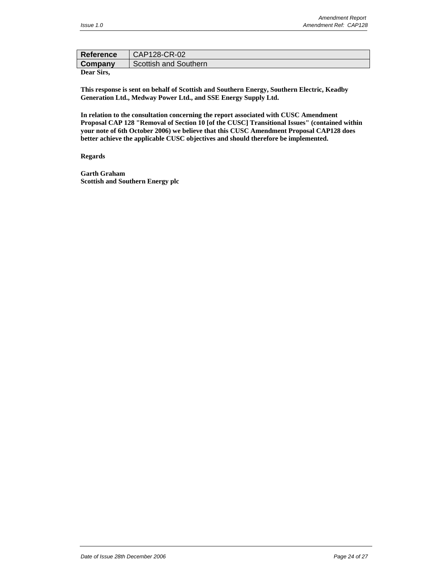| Reference  | CAP128-CR-02          |
|------------|-----------------------|
| Company    | Scottish and Southern |
| Dear Sirs. |                       |

**This response is sent on behalf of Scottish and Southern Energy, Southern Electric, Keadby Generation Ltd., Medway Power Ltd., and SSE Energy Supply Ltd.** 

**In relation to the consultation concerning the report associated with CUSC Amendment Proposal CAP 128 "Removal of Section 10 [of the CUSC] Transitional Issues" (contained within your note of 6th October 2006) we believe that this CUSC Amendment Proposal CAP128 does better achieve the applicable CUSC objectives and should therefore be implemented.** 

#### **Regards**

**Garth Graham Scottish and Southern Energy plc**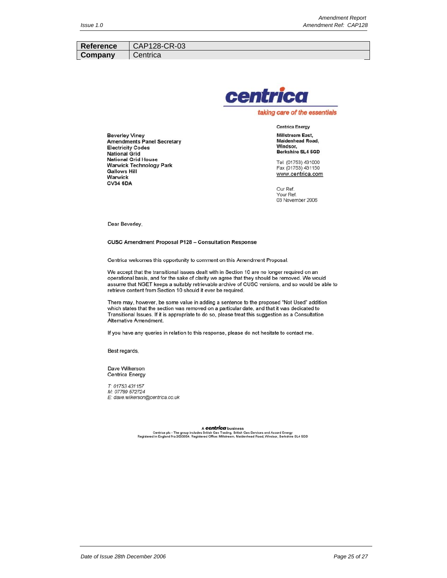| <b>Reference</b> | $\overline{\phantom{a}}$ CAP128-CR-03 |
|------------------|---------------------------------------|
| Company          | Centrica                              |
|                  |                                       |



taking care of the essentials

**Beverley Viney Amendments Panel Secretary** Electricity Codes **National Grid National Grid House Warwick Technology Park Gallows Hill** Warwick **CV34 6DA** 

**Centrica Energy Millstream East,** Maidenhead Road, Windsor, Berkshire SL4 5GD

Tel. (01753) 431000 Fax (01753) 431150 www.centrica.com

Our Ref. Your Ref. 03 November 2006

Dear Beverley,

**CUSC Amendment Proposal P128 - Consultation Response** 

Centrica welcomes this opportunity to comment on this Amendment Proposal.

We accept that the transitional issues dealt with in Section 10 are no longer required on an operational basis, and for the sake of clarity we agree that they should be removed. We would assume that NGET keeps a suitably retrievable archive of CUSC versions, and so would be able to retrieve content from Section 10 should it ever be required.

There may, however, be some value in adding a sentence to the proposed "Not Used" addition which states that the section was removed on a particular date, and that it was dedicated to Transitional Issues. If it is appropriate to do so, please treat this suggestion as a Consultation Alternative Amendment.

If you have any queries in relation to this response, please do not hesitate to contact me.

Best regards,

Dave Wilkerson **Centrica Energy** 

T: 01753 431157 M: 07789 572724 E: dave.wilkerson@centrica.co.uk

A Centrical business<br>Centrica plc - The group includes British Gas Trading, British Gas Services and Accord Energy<br>Registered in England No.3033654. Registered Office: Millstream, Maidenhead Road, Windsor, Berkshire SL4 5G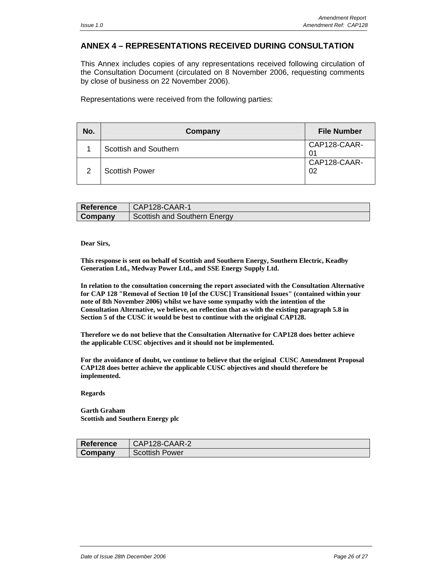## **ANNEX 4 – REPRESENTATIONS RECEIVED DURING CONSULTATION**

This Annex includes copies of any representations received following circulation of the Consultation Document (circulated on 8 November 2006, requesting comments by close of business on 22 November 2006).

Representations were received from the following parties:

| No. | Company                      | <b>File Number</b> |
|-----|------------------------------|--------------------|
|     | <b>Scottish and Southern</b> | CAP128-CAAR-       |
| 2   | <b>Scottish Power</b>        | CAP128-CAAR-<br>02 |

| <b>Reference</b> | CAP128-CAAR-1                |
|------------------|------------------------------|
| Company          | Scottish and Southern Energy |

#### **Dear Sirs,**

**This response is sent on behalf of Scottish and Southern Energy, Southern Electric, Keadby Generation Ltd., Medway Power Ltd., and SSE Energy Supply Ltd.** 

**In relation to the consultation concerning the report associated with the Consultation Alternative for CAP 128 "Removal of Section 10 [of the CUSC] Transitional Issues" (contained within your note of 8th November 2006) whilst we have some sympathy with the intention of the Consultation Alternative, we believe, on reflection that as with the existing paragraph 5.8 in Section 5 of the CUSC it would be best to continue with the original CAP128.** 

**Therefore we do not believe that the Consultation Alternative for CAP128 does better achieve the applicable CUSC objectives and it should not be implemented.** 

**For the avoidance of doubt, we continue to believe that the original CUSC Amendment Proposal CAP128 does better achieve the applicable CUSC objectives and should therefore be implemented.** 

#### **Regards**

**Garth Graham Scottish and Southern Energy plc** 

| Reference | CAP128-CAAR-2         |
|-----------|-----------------------|
| Company   | <b>Scottish Power</b> |